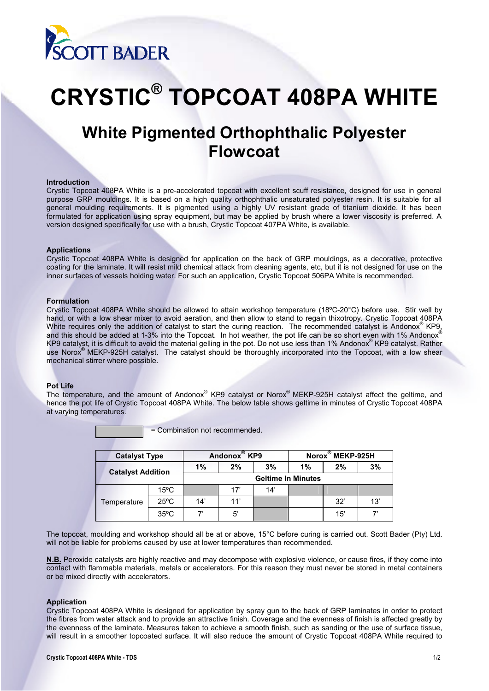

# **CRYSTIC® TOPCOAT 408PA WHITE**

# **White Pigmented Orthophthalic Polyester Flowcoat**

# **Introduction**

Crystic Topcoat 408PA White is a pre-accelerated topcoat with excellent scuff resistance, designed for use in general purpose GRP mouldings. It is based on a high quality orthophthalic unsaturated polyester resin. It is suitable for all general moulding requirements. It is pigmented using a highly UV resistant grade of titanium dioxide. It has been formulated for application using spray equipment, but may be applied by brush where a lower viscosity is preferred. A version designed specifically for use with a brush, Crystic Topcoat 407PA White, is available.

#### **Applications**

Crystic Topcoat 408PA White is designed for application on the back of GRP mouldings, as a decorative, protective coating for the laminate. It will resist mild chemical attack from cleaning agents, etc, but it is not designed for use on the inner surfaces of vessels holding water. For such an application, Crystic Topcoat 506PA White is recommended.

#### **Formulation**

Crystic Topcoat 408PA White should be allowed to attain workshop temperature (18ºC-20°C) before use. Stir well by hand, or with a low shear mixer to avoid aeration, and then allow to stand to regain thixotropy. Crystic Topcoat 408PA White requires only the addition of catalyst to start the curing reaction. The recommended catalyst is Andonox® KP9, and this should be added at 1-3% into the Topcoat. In hot weather, the pot life can be so short even with 1% Andonox® KP9 catalyst, it is difficult to avoid the material gelling in the pot. Do not use less than 1% Andonox® KP9 catalyst. Rather use Norox® MEKP-925H catalyst. The catalyst should be thoroughly incorporated into the Topcoat, with a low shear mechanical stirrer where possible.

#### **Pot Life**

The temperature, and the amount of Andonox® KP9 catalyst or Norox® MEKP-925H catalyst affect the geltime, and hence the pot life of Crystic Topcoat 408PA White. The below table shows geltime in minutes of Crystic Topcoat 408PA at varying temperatures.

= Combination not recommended.

| <b>Catalyst Type</b>     |                | Andonox <sup>®</sup> KP9  |     |     | Norox <sup>®</sup> MEKP-925H |     |     |
|--------------------------|----------------|---------------------------|-----|-----|------------------------------|-----|-----|
| <b>Catalyst Addition</b> |                | 1%                        | 2%  | 3%  | 1%                           | 2%  | 3%  |
|                          |                | <b>Geltime In Minutes</b> |     |     |                              |     |     |
| Temperature              | $15^{\circ}$ C |                           | 17' | 14' |                              |     |     |
|                          | $25^{\circ}$ C | 14'                       | 11' |     |                              | 32' | 13' |
|                          | $35^{\circ}$ C |                           | 5'  |     |                              | 15' |     |

The topcoat, moulding and workshop should all be at or above, 15°C before curing is carried out. Scott Bader (Pty) Ltd. will not be liable for problems caused by use at lower temperatures than recommended.

**N.B.** Peroxide catalysts are highly reactive and may decompose with explosive violence, or cause fires, if they come into contact with flammable materials, metals or accelerators. For this reason they must never be stored in metal containers or be mixed directly with accelerators.

#### **Application**

Crystic Topcoat 408PA White is designed for application by spray gun to the back of GRP laminates in order to protect the fibres from water attack and to provide an attractive finish. Coverage and the evenness of finish is affected greatly by the evenness of the laminate. Measures taken to achieve a smooth finish, such as sanding or the use of surface tissue, will result in a smoother topcoated surface. It will also reduce the amount of Crystic Topcoat 408PA White required to